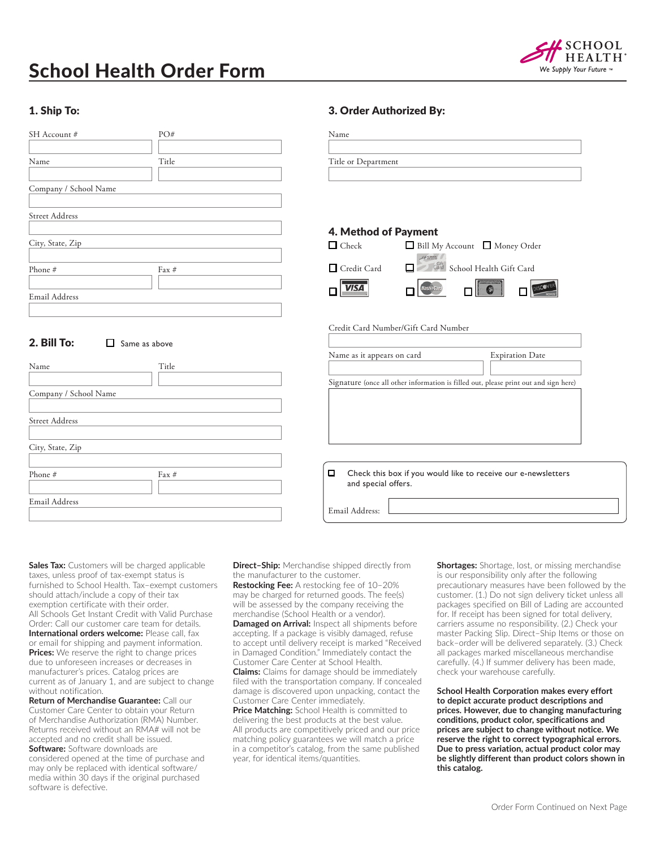# School Health Order Form



#### 1. Ship To:

| SH Account #          | PO#      |
|-----------------------|----------|
| Name                  | Title    |
| Company / School Name |          |
| <b>Street Address</b> |          |
| City, State, Zip      |          |
| Phone #               | $Fax \#$ |
| Email Address         |          |

#### 2. Bill To:  $\Box$  Same as above

| Name                  | Title    |
|-----------------------|----------|
| Company / School Name |          |
| <b>Street Address</b> |          |
| City, State, Zip      |          |
| Phone #               | $Fax \#$ |
| Email Address         |          |

#### 3. Order Authorized By:

| Name                |  |  |
|---------------------|--|--|
|                     |  |  |
| Title or Department |  |  |
|                     |  |  |

#### 4. Method of Payment

| $\Box$ Check       | $\Box$ Bill My Account $\Box$ Money Order                                                                                                                                                                                      |
|--------------------|--------------------------------------------------------------------------------------------------------------------------------------------------------------------------------------------------------------------------------|
| $\Box$ Credit Card | Card School Health Gift Card<br>п.                                                                                                                                                                                             |
| $\Box$ VISA        | Mastercate de la Company de la Company de la Company de la Company de la Company de la Company de la Company de la Company de la Company de la Company de la Company de la Company de la Company de la Company de la Company d |

#### Credit Card Number/Gift Card Number

| Name as it appears on card                                                           | <b>Expiration Date</b> |
|--------------------------------------------------------------------------------------|------------------------|
| Signature (once all other information is filled out, please print out and sign here) |                        |
| Check this box if you would like to receive our e-newsletters<br>and special offers. |                        |

**Sales Tax:** Customers will be charged applicable taxes, unless proof of tax-exempt status is furnished to School Health. Tax–exempt customers should attach/include a copy of their tax exemption certificate with their order. All Schools Get Instant Credit with Valid Purchase Order: Call our customer care team for details. **International orders welcome:** Please call, fax or email for shipping and payment information. **Prices:** We reserve the right to change prices due to unforeseen increases or decreases in manufacturer's prices. Catalog prices are current as of January 1, and are subject to change without notification.

**Return of Merchandise Guarantee:** Call our Customer Care Center to obtain your Return of Merchandise Authorization (RMA) Number. Returns received without an RMA# will not be accepted and no credit shall be issued. **Software:** Software downloads are considered opened at the time of purchase and may only be replaced with identical software/

media within 30 days if the original purchased software is defective.

**Direct–Ship:** Merchandise shipped directly from the manufacturer to the customer. **Restocking Fee:** A restocking fee of 10–20% may be charged for returned goods. The fee(s) will be assessed by the company receiving the merchandise (School Health or a vendor). **Damaged on Arrival:** Inspect all shipments before accepting. If a package is visibly damaged, refuse to accept until delivery receipt is marked "Received in Damaged Condition." Immediately contact the Customer Care Center at School Health. **Claims:** Claims for damage should be immediately filed with the transportation company. If concealed damage is discovered upon unpacking, contact the Customer Care Center immediately. **Price Matching:** School Health is committed to

Email Address:

delivering the best products at the best value. All products are competitively priced and our price matching policy guarantees we will match a price in a competitor's catalog, from the same published year, for identical items/quantities.

**Shortages:** Shortage, lost, or missing merchandise is our responsibility only after the following precautionary measures have been followed by the customer. (1.) Do not sign delivery ticket unless all packages specified on Bill of Lading are accounted for. If receipt has been signed for total delivery, carriers assume no responsibility. (2.) Check your master Packing Slip. Direct–Ship Items or those on back–order will be delivered separately. (3.) Check all packages marked miscellaneous merchandise carefully. (4.) If summer delivery has been made, check your warehouse carefully.

**School Health Corporation makes every effort to depict accurate product descriptions and prices. However, due to changing manufacturing conditions, product color, specifications and prices are subject to change without notice. We reserve the right to correct typographical errors. Due to press variation, actual product color may be slightly different than product colors shown in this catalog.**